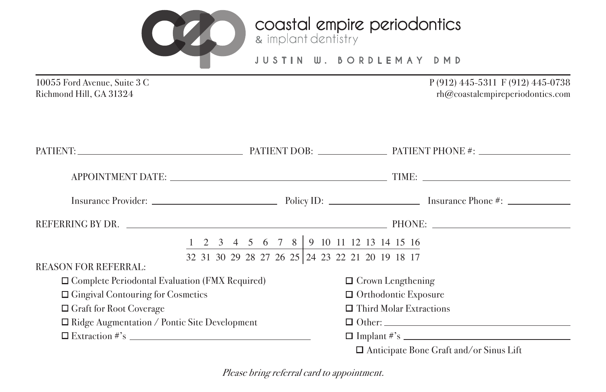

coastal empire periodontics<br>& implant dentistry

**J USTIN W . B O R DLE M A Y D M D**

10055 Ford Avenue, Suite 3 C Richmond Hill, GA 31324

P (912) 445-5311 F (912) 445-0738 rh@coastalempireperiodontics.com **S P E N C E R J . SH OFF D M D M S**

|                                                       | REFERRING BY DR.                                                       |
|-------------------------------------------------------|------------------------------------------------------------------------|
|                                                       | $1 \t2 \t3 \t4 \t5 \t6 \t7 \t8 \t9 \t10 \t11 \t12 \t13 \t14 \t15 \t16$ |
| <b>REASON FOR REFERRAL:</b>                           | 32 31 30 29 28 27 26 25 24 23 22 21 20 19 18 17                        |
| $\Box$ Complete Periodontal Evaluation (FMX Required) | $\Box$ Crown Lengthening                                               |
| $\Box$ Gingival Contouring for Cosmetics              | $\Box$ Orthodontic Exposure                                            |
| $\Box$ Graft for Root Coverage                        | $\Box$ Third Molar Extractions                                         |
| $\Box$ Ridge Augmentation / Pontic Site Development   |                                                                        |
|                                                       | $\Box$ Implant #'s $\Box$                                              |
|                                                       | $\Box$ Anticipate Bone Graft and/or Sinus Lift                         |

Please bring referral card to appointment.